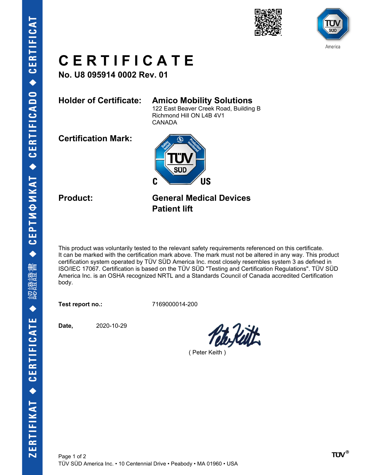



# **C E R T I F I C A T E**

**No. U8 095914 0002 Rev. 01**

## **Holder of Certificate: Amico Mobility Solutions**

122 East Beaver Creek Road, Building B Richmond Hill ON L4B 4V1 CANADA

**Certification Mark:**



**Product: General Medical Devices Patient lift**

This product was voluntarily tested to the relevant safety requirements referenced on this certificate. It can be marked with the certification mark above. The mark must not be altered in any way. This product certification system operated by TÜV SÜD America Inc. most closely resembles system 3 as defined in ISO/IEC 17067. Certification is based on the TÜV SÜD "Testing and Certification Regulations". TÜV SÜD America Inc. is an OSHA recognized NRTL and a Standards Council of Canada accredited Certification body.

**Test report no.:** 7169000014-200

**Date,** 2020-10-29

( Peter Keith )